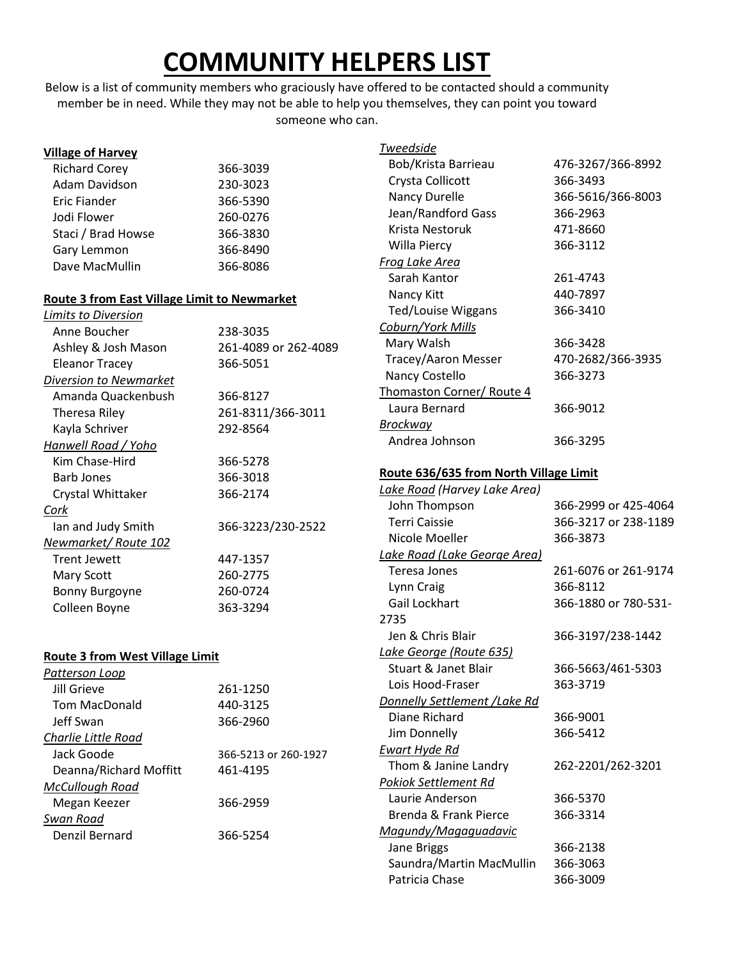# **COMMUNITY HELPERS LIST**

Below is a list of community members who graciously have offered to be contacted should a community member be in need. While they may not be able to help you themselves, they can point you toward someone who can.

| <b>Village of Harvey</b>                            |                      | <b>Tweedside</b>                       |                      |
|-----------------------------------------------------|----------------------|----------------------------------------|----------------------|
| <b>Richard Corey</b>                                | 366-3039             | Bob/Krista Barrieau                    | 476-3267/366-8992    |
| Adam Davidson                                       | 230-3023             | Crysta Collicott                       | 366-3493             |
| <b>Eric Fiander</b>                                 | 366-5390             | Nancy Durelle                          | 366-5616/366-8003    |
| Jodi Flower                                         | 260-0276             | Jean/Randford Gass                     | 366-2963             |
| Staci / Brad Howse                                  | 366-3830             | Krista Nestoruk                        | 471-8660             |
| Gary Lemmon                                         | 366-8490             | Willa Piercy                           | 366-3112             |
| Dave MacMullin                                      | 366-8086             | Frog Lake Area                         |                      |
|                                                     |                      | Sarah Kantor                           | 261-4743             |
| <b>Route 3 from East Village Limit to Newmarket</b> |                      | Nancy Kitt                             | 440-7897             |
| Limits to Diversion                                 |                      | <b>Ted/Louise Wiggans</b>              | 366-3410             |
| Anne Boucher                                        | 238-3035             | Coburn/York Mills                      |                      |
| Ashley & Josh Mason                                 | 261-4089 or 262-4089 | Mary Walsh                             | 366-3428             |
| <b>Eleanor Tracey</b>                               | 366-5051             | Tracey/Aaron Messer                    | 470-2682/366-3935    |
| Diversion to Newmarket                              |                      | Nancy Costello                         | 366-3273             |
| Amanda Quackenbush                                  | 366-8127             | Thomaston Corner/ Route 4              |                      |
| Theresa Riley                                       | 261-8311/366-3011    | Laura Bernard                          | 366-9012             |
| Kayla Schriver                                      | 292-8564             | <b>Brockway</b>                        |                      |
| Hanwell Road / Yoho                                 |                      | Andrea Johnson                         | 366-3295             |
| Kim Chase-Hird                                      | 366-5278             |                                        |                      |
| <b>Barb Jones</b>                                   | 366-3018             | Route 636/635 from North Village Limit |                      |
| Crystal Whittaker                                   | 366-2174             | Lake Road (Harvey Lake Area)           |                      |
| Cork                                                |                      | John Thompson                          | 366-2999 or 425-4064 |
| Ian and Judy Smith                                  | 366-3223/230-2522    | <b>Terri Caissie</b>                   | 366-3217 or 238-1189 |
| Newmarket/Route 102                                 |                      | Nicole Moeller                         | 366-3873             |
| <b>Trent Jewett</b>                                 | 447-1357             | Lake Road (Lake George Area)           |                      |
| Mary Scott                                          | 260-2775             | Teresa Jones                           | 261-6076 or 261-9174 |
| Bonny Burgoyne                                      | 260-0724             | Lynn Craig                             | 366-8112             |
| Colleen Boyne                                       | 363-3294             | Gail Lockhart                          | 366-1880 or 780-531- |
|                                                     |                      | 2735                                   |                      |
|                                                     |                      | Jen & Chris Blair                      | 366-3197/238-1442    |
| <b>Route 3 from West Village Limit</b>              |                      | Lake George (Route 635)                |                      |
| Patterson Loop                                      |                      | <b>Stuart &amp; Janet Blair</b>        | 366-5663/461-5303    |
| <b>Jill Grieve</b>                                  | 261-1250             | Lois Hood-Fraser                       | 363-3719             |
| Tom MacDonald                                       | 440-3125             | Donnelly Settlement / Lake Rd          |                      |
| Jeff Swan                                           | 366-2960             | Diane Richard                          | 366-9001             |
| Charlie Little Road                                 |                      | Jim Donnelly                           | 366-5412             |
| Jack Goode                                          | 366-5213 or 260-1927 | <b>Ewart Hyde Rd</b>                   |                      |
| Deanna/Richard Moffitt                              | 461-4195             | Thom & Janine Landry                   | 262-2201/262-3201    |
| McCullough Road                                     |                      | <b>Pokiok Settlement Rd</b>            |                      |
| Megan Keezer                                        | 366-2959             | Laurie Anderson                        | 366-5370             |
| Swan Road                                           |                      | Brenda & Frank Pierce                  | 366-3314             |
| Denzil Bernard                                      | 366-5254             | Magundy/Magaguadavic                   |                      |
|                                                     |                      | Jane Briggs                            | 366-2138             |
|                                                     |                      | Saundra/Martin MacMullin               | 366-3063             |
|                                                     |                      | Patricia Chase                         | 366-3009             |